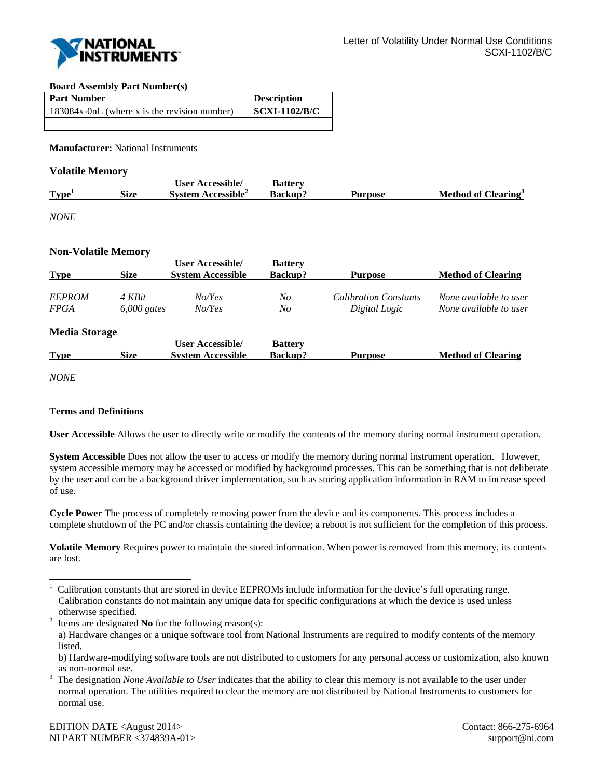

## **Board Assembly Part Number(s)**

| <b>Part Number</b>                           | <b>Description</b>   |
|----------------------------------------------|----------------------|
| 183084x-0nL (where x is the revision number) | <b>SCXI-1102/B/C</b> |
|                                              |                      |

**Manufacturer:** National Instruments

## **Volatile Memory**

|                   |      | <b>User Accessible/</b>        | <b>Battery</b> |                |                                 |
|-------------------|------|--------------------------------|----------------|----------------|---------------------------------|
| Type <sup>1</sup> | Size | System Accessible <sup>2</sup> | Backup?        | <b>Purpose</b> | Method of Clearing <sup>3</sup> |
|                   |      |                                |                |                |                                 |

*NONE* 

## **Non-Volatile Memory**

| <b>Size</b>          | <b>User Accessible/</b><br><b>System Accessible</b> | <b>Battery</b><br><b>Backup?</b> | <b>Purpose</b>               | <b>Method of Clearing</b> |
|----------------------|-----------------------------------------------------|----------------------------------|------------------------------|---------------------------|
| 4 KBit               | No/Yes                                              | No                               | <b>Calibration Constants</b> | None available to user    |
|                      | No/Yes                                              | No                               | Digital Logic                | None available to user    |
| <b>Media Storage</b> |                                                     |                                  |                              |                           |
|                      | <b>User Accessible/</b>                             | <b>Battery</b>                   |                              |                           |
| <b>Size</b>          | <b>System Accessible</b>                            | <b>Backup?</b>                   | <b>Purpose</b>               | <b>Method of Clearing</b> |
|                      |                                                     | $6,000$ gates                    |                              |                           |

*NONE* 

l

## **Terms and Definitions**

**User Accessible** Allows the user to directly write or modify the contents of the memory during normal instrument operation.

**System Accessible** Does not allow the user to access or modify the memory during normal instrument operation. However, system accessible memory may be accessed or modified by background processes. This can be something that is not deliberate by the user and can be a background driver implementation, such as storing application information in RAM to increase speed of use.

**Cycle Power** The process of completely removing power from the device and its components. This process includes a complete shutdown of the PC and/or chassis containing the device; a reboot is not sufficient for the completion of this process.

**Volatile Memory** Requires power to maintain the stored information. When power is removed from this memory, its contents are lost.

<sup>1</sup> Calibration constants that are stored in device EEPROMs include information for the device's full operating range. Calibration constants do not maintain any unique data for specific configurations at which the device is used unless otherwise specified.<br><sup>2</sup> Items are designated

Items are designated **No** for the following reason(s):

a) Hardware changes or a unique software tool from National Instruments are required to modify contents of the memory listed.

b) Hardware-modifying software tools are not distributed to customers for any personal access or customization, also known as non-normal use.<br> $\frac{3}{10}$  The designation  $N_{\odot}$ 

The designation *None Available to User* indicates that the ability to clear this memory is not available to the user under normal operation. The utilities required to clear the memory are not distributed by National Instruments to customers for normal use.